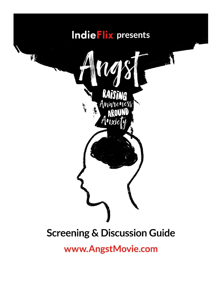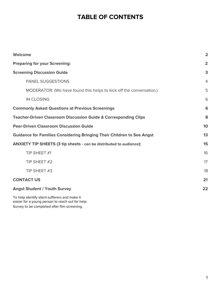## **TABLE OF CONTENTS**

| Welcome                                                                                           | $\overline{\mathbf{2}}$ |
|---------------------------------------------------------------------------------------------------|-------------------------|
| <b>Preparing for your Screening:</b>                                                              | $\overline{2}$          |
| <b>Screening Discussion Guide</b>                                                                 | 3                       |
| <b>PANEL SUGGESTIONS</b>                                                                          | $\overline{4}$          |
| MODERATOR: (We have found this helps to kick off the conversation.)                               | 5                       |
| <b>IN CLOSING</b>                                                                                 | 6                       |
| <b>Commonly Asked Questions at Previous Screenings</b>                                            | 6                       |
| <b>Teacher-Driven Classroom Discussion Guide &amp; Corresponding Clips</b>                        | 8                       |
| <b>Peer-Driven Classroom Discussion Guide</b>                                                     | 10                      |
| <b>Guidance for Families Considering Bringing Their Children to See Angst</b>                     | 13                      |
| <b>ANXIETY TIP SHEETS (3 tip sheets - can be distributed to audience):</b>                        | 15                      |
| TIP SHEET #1                                                                                      | 16                      |
| TIP SHEET #2                                                                                      | 17                      |
| TIP SHEET #3                                                                                      | 18                      |
| <b>CONTACT US</b>                                                                                 | 21                      |
| <b>Angst Student / Youth Survey</b>                                                               | 22                      |
| To help identify silent sufferers and make it<br>easier for a young person to reach out for help. |                         |

Survey to be completed after film screening.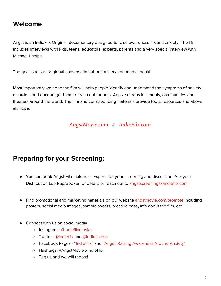## <span id="page-2-0"></span>**Welcome**

Angst is an IndieFlix Original, documentary designed to raise awareness around anxiety. The film includes interviews with kids, teens, educators, experts, parents and a very special interview with Michael Phelps.

The goal is to start a global conversation about anxiety and mental health.

Most importantly we hope the film will help people identify and understand the symptoms of anxiety disorders and encourage them to reach out for help. Angst screens in schools, communities and theaters around the world. The film and corresponding materials provide tools, resources and above all, hope.

### *[AngstMovie.com](https://www.angstmovie.com/) & [IndieFlix.com](https://www.indieflix.com/)*

## <span id="page-2-1"></span>**Preparing for your Screening:**

- You can book Angst Filmmakers or Experts for your screening and discussion. Ask your Distribution Lab Rep/Booker for details or reach out to [angstscreenings@indieflix.com](mailto:angstscreenings@indieflix.com)
- Find promotional and marketing materials on our website [angstmovie.com/promote](https://angstmovie.com/promote/) including posters, social media images, sample tweets, press release, info about the film, etc.
- Connect with us on social media
	- Instagram [@indieflixmovies](https://www.instagram.com/indieflixmovies/)
	- Twitter @indieflix and @indieflixceo
	- Facebook Pages "IndieFlix" and "Angst: Raising Awareness Around Anxiety"
	- Hashtags: #AngstMovie #IndieFlix
	- Tag us and we will repost!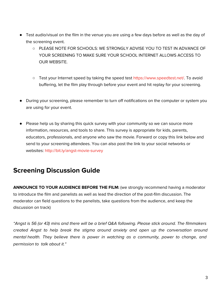- Test audio/visual on the film in the venue you are using a few days before as well as the day of the screening event.
	- PLEASE NOTE FOR SCHOOLS: WE STRONGLY ADVISE YOU TO TEST IN ADVANCE OF YOUR SCREENING TO MAKE SURE YOUR SCHOOL INTERNET ALLOWS ACCESS TO OUR WEBSITE.
	- Test your Internet speed by taking the speed test <https://www.speedtest.net/>. To avoid buffering, let the film play through before your event and hit replay for your screening.
- During your screening, please remember to turn off notifications on the computer or system you are using for your event.
- Please help us by sharing this quick survey with your community so we can source more information, resources, and tools to share. This survey is appropriate for kids, parents, educators, professionals, and anyone who saw the movie. Forward or copy this link below and send to your screening attendees. You can also post the link to your social networks or websites: http://bit.ly/angst-movie-survey

# **Screening [Discussion Guide](http://bit.ly/angst-movie-survey)**

<span id="page-3-0"></span>**ANNOUNCE TO YOUR AUDIENCE BEFORE THE FILM:** (we strongly recommend having a moderator to introduce the film and panelists as well as lead the direction of the post-film discussion. The moderator can field questions to the panelists, take questions from the audience, and keep the discussion on track)

"Angst is 56 (or 43) mins and there will be a brief Q&A following. Please stick around. The filmmakers created Angst to help break the stigma around anxiety and open up the conversation around mental health. They believe there is power in watching as a community, power to change, and permission to talk about it."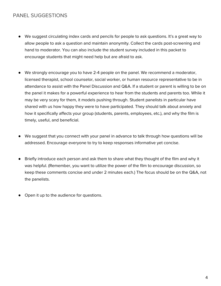### PANEL SUGGESTIONS

- <span id="page-4-0"></span>● We suggest circulating index cards and pencils for people to ask questions. It's a great way to allow people to ask a question and maintain anonymity. Collect the cards post-screening and hand to moderator. You can also include the student survey included in this packet to encourage students that might need help but are afraid to ask.
- We strongly encourage you to have 2-4 people on the panel. We recommend a moderator, licensed therapist, school counselor, social worker, or human resource representative to be in attendance to assist with the Panel Discussion and Q&A. If a student or parent is willing to be on the panel it makes for a powerful experience to hear from the students and parents too. While it may be very scary for them, it models pushing through. Student panelists in particular have shared with us how happy they were to have participated. They should talk about anxiety and how it specifically affects your group (students, parents, employees, etc.), and why the film is timely, useful, and beneficial.
- We suggest that you connect with your panel in advance to talk through how questions will be addressed. Encourage everyone to try to keep responses informative yet concise.
- Briefly introduce each person and ask them to share what they thought of the film and why it was helpful. (Remember, you want to utilize the power of the film to encourage discussion, so keep these comments concise and under 2 minutes each.) The focus should be on the Q&A, not the panelists.
- Open it up to the audience for questions.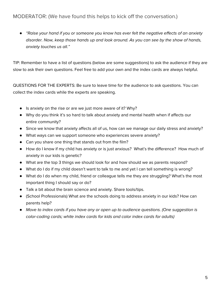### <span id="page-5-0"></span>MODERATOR: (We have found this helps to kick off the conversation.)

*●* "Raise your hand if you or someone you know has ever felt the negative effects of an anxiety disorder. Now, keep those hands up and look around. As you can see by the show of hands, anxiety touches us all."

TIP: Remember to have a list of questions (below are some suggestions) to ask the audience if they are slow to ask their own questions. Feel free to add your own and the index cards are always helpful.

QUESTIONS FOR THE EXPERTS: Be sure to leave time for the audience to ask questions. You can collect the index cards while the experts are speaking.

- Is anxiety on the rise or are we just more aware of it? Why?
- Why do you think it's so hard to talk about anxiety and mental health when if affects our entire community?
- Since we know that anxiety affects all of us, how can we manage our daily stress and anxiety?
- What ways can we support someone who experiences severe anxiety?
- Can you share one thing that stands out from the film?
- How do I know if my child has anxiety or is just anxious? What's the difference? How much of anxiety in our kids is genetic?
- What are the top 3 things we should look for and how should we as parents respond?
- What do I do if my child doesn't want to talk to me and yet I can tell something is wrong?
- What do I do when my child, friend or colleague tells me they are struggling? What's the most important thing I should say or do?
- Talk a bit about the brain science and anxiety. Share tools/tips.
- (School Professionals) What are the schools doing to address anxiety in our kids? How can parents help?
- *●* Move to index cards if you have any or open up to audience questions. (One suggestion is color-coding cards; white index cards for kids and color index cards for adults)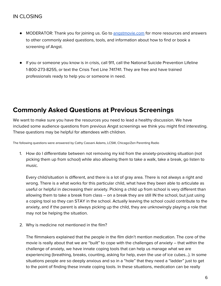- MODERATOR: Thank you for joining us. Go to [angstmovie.com](https://angstmovie.com/) for more resources and answers to other commonly asked questions, tools, and information about how to find or book a screening of Angst.
- If you or someone you know is in crisis, call 911, call the National Suicide Prevention Lifeline 1-800-273-8255, or text the Crisis Text Line 741741. They are free and have trained professionals ready to help you or someone in need.

### **Commonly Asked Questions at Previous Screenings**

We want to make sure you have the resources you need to lead a healthy discussion. We have included some audience questions from previous Angst screenings we think you might find interesting. These questions may be helpful for attendees with children.

The following questions were answered by Cathy Cassani Adams, LCSW, Chicago/Zen Parenting Radio

1. How do I differentiate between not removing my kid from the anxiety-provoking situation (not picking them up from school) while also allowing them to take a walk, take a break, go listen to music.

Every child/situation is different, and there is a lot of gray area. There is not always a right and wrong. There is a what works for this particular child, what have they been able to articulate as useful or helpful in decreasing their anxiety. Picking a child up from school is very different than allowing them to take a break from class – on a break they are still IN the school, but just using a coping tool so they can STAY in the school. Actually leaving the school could contribute to the anxiety, and if the parent is always picking up the child, they are unknowingly playing a role that may not be helping the situation.

2. Why is medicine not mentioned in the film?

The filmmakers explained that the people in the film didn't mention medication. The core of the movie is really about that we are "built" to cope with the challenges of anxiety – that within the challenge of anxiety, we have innate coping tools that can help us manage what we are experiencing (breathing, breaks, counting, asking for help, even the use of ice cubes...). In some situations people are so deeply anxious and so in a "hole" that they need a "ladder" just to get to the point of finding these innate coping tools. In these situations, medication can be really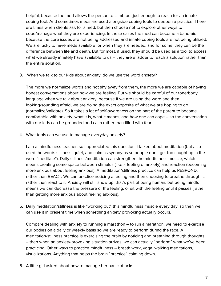helpful, because the med allows the person to climb out just enough to reach for an innate coping tool. And sometimes meds are used alongside coping tools to deepen a practice. There are times when clients ask for a med, but then choose not to explore other ways to cope/manage what they are experiencing. In these cases the med can become a band-aid, because the core issues are not being addressed and innate coping tools are not being utilized. We are lucky to have meds available for when they are needed, and for some, they can be the difference between life and death. But for most, if used, they should be used as a tool to access what we already innately have available to us - they are a ladder to reach a solution rather than the entire solution.

3. When we talk to our kids about anxiety, do we use the word anxiety?

The more we normalize words and not shy away from them, the more we are capable of having honest conversations about how we are feeling. But we should be careful of our tone/body language when we talk about anxiety, because if we are using the word and then looking/sounding afraid, we are doing the exact opposite of what we are hoping to do (normalize/validate). So it takes a lot of self-awareness on the part of the parent to become comfortable with anxiety, what it is, what it means, and how one can cope – so the conversation with our kids can be grounded and calm rather than filled with fear.

4. What tools can we use to manage everyday anxiety?

I am a mindfulness teacher, so I appreciated this question. I talked about meditation (but also used the words stillness, quiet, and calm as synonyms so people don't get too caught up in the word "meditate"). Daily stillness/meditation can strengthen the mindfulness muscle, which means creating some space between stimulus (like a feeling of anxiety) and reaction (becoming more anxious about feeling anxious). A meditation/stillness practice can help us RESPOND, rather than REACT. We can practice noticing a feeling and then choosing to breathe through it, rather than react to it. Anxiety will still show up, that's part of being human, but being mindful means we can decrease the pressure of the feeling, or sit with the feeling until it passes (rather than getting more anxious about feeling anxious).

5. Daily meditation/stillness is like "working out" this mindfulness muscle every day, so then we can use it in present time when something anxiety provoking actually occurs.

Compare dealing with anxiety to running a marathon – to run a marathon, we need to exercise our bodies on a daily or weekly basis so we are ready to perform during the race. A meditation/stillness practice is exercising the brain by noticing and breathing through thoughts – then when an anxiety-provoking situation arrives, we can actually "perform" what we've been practicing. Other ways to practice mindfulness – breath work, yoga, walking meditations, visualizations. Anything that helps the brain "practice" calming down.

6. A little girl asked about how to manage her panic attacks.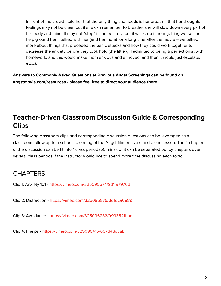In front of the crowd I told her that the only thing she needs is her breath – that her thoughts feelings may not be clear, but if she can remember to breathe, she will slow down every part of her body and mind. It may not "stop" it immediately, but it will keep it from getting worse and help ground her. I talked with her (and her mom) for a long time after the movie – we talked more about things that preceded the panic attacks and how they could work together to decrease the anxiety before they took hold (the little girl admitted to being a perfectionist with homework, and this would make mom anxious and annoyed, and then it would just escalate, etc...).

**Answers to Commonly Asked Questions at Previous Angst Screenings can be found on angstmovie.com/resources - please feel free to direct your audience there.**

# **Teacher-Driven Classroom Discussion Guide & Corresponding Clips**

The following classroom clips and corresponding discussion questions can be leveraged as a classroom follow up to a school screening of the Angst film or as a stand-alone lesson. The 4 chapters of the discussion can be fit into 1 class period (50 mins), or it can be separated out by chapters over several class periods if the instructor would like to spend more time discussing each topic.

# **CHAPTERS**

Clip 1: Anxiety 101 - <https://vimeo.com/325095674/9d1fa7976d>

Clip 2: Distraction - <https://vimeo.com/325095875/dd1dca0889>

Clip 3: Avoidance - <https://vimeo.com/325096232/9933521bac>

Clip 4: Phelps - <https://vimeo.com/325096415/667d48dcab>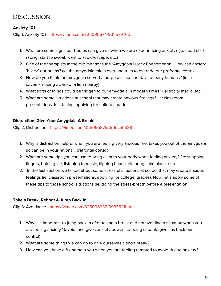# **DISCUSSION**

#### **Anxiety 101**

Clip 1: Anxiety 101 - <https://vimeo.com/325095674/9d1fa7976d>

- 1. What are some signs our bodies can give us when we are experiencing anxiety? (ie: heart starts racing, start to sweat, want to avoid/escape, etc.)
- 2. One of the therapists in the clip mentions the 'Amygdala Hijack Phenomenon.' How can anxiety 'hijack' our brains? (ie: the amygdala takes over and tries to override our prefrontal cortex)
- 3. How do you think the amygdala served a purpose since the days of early humans? (ie: a caveman being aware of a lion nearby)
- 4. What sorts of things could be triggering our amygdala in modern times? (ie: social media, etc.)
- 5. What are some situations at school that may create anxious feelings? (ie: classroom presentations, test taking, applying for college, grades).

#### **Distraction: Give Your Amygdala A Break!**

Clip 2: Distraction - <https://vimeo.com/325095875/dd1dca0889>

- 1. Why is distraction helpful when you are feeling very anxious? (ie: takes you out of the amygdala so can be in your rational, prefrontal cortex)
- 2. What are some tips you can use to bring calm to your body when feeling anxiety? (ie: snapping fingers, holding ice, listening to music, flipping hands, picturing calm place, etc)
- 3. In the last section we talked about some stressful situations at school that may create anxious feelings (ie: classroom presentations, applying for college, grades). Now, let's apply some of these tips to those school situations (ie: doing the stress-breath before a presentation)

#### **Take a Break, Reboot & Jump Back In**

Clip 3: Avoidance - <https://vimeo.com/325096232/9933521bac>

- 1. Why is it important to jump back in after taking a break and not avoiding a situation when you are feeling anxiety? (avoidance gives anxiety power, so being capable gives us back our control)
- 2. What are some things we can do to give ourselves a short break?
- 3. How can you have a friend help you when you are feeling tempted to avoid due to anxiety?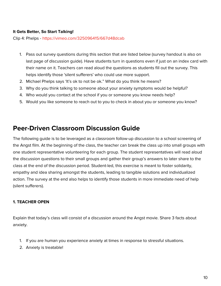#### **It Gets Better, So Start Talking!**

Clip 4: Phelps - <https://vimeo.com/325096415/667d48dcab>

- 1. Pass out survey questions during this section that are listed below (survey handout is also on last page of discussion guide). Have students turn in questions even if just on an index card with their name on it. Teachers can read aloud the questions as students fill out the survey. This helps identify those 'silent sufferers' who could use more support.
- 2. Michael Phelps says 'It's ok to not be ok." What do you think he means?
- 3. Why do you think talking to someone about your anxiety symptoms would be helpful?
- 4. Who would you contact at the school if you or someone you know needs help?
- 5. Would you like someone to reach out to you to check in about you or someone you know?

### **Peer-Driven Classroom Discussion Guide**

The following guide is to be leveraged as a classroom follow-up discussion to a school screening of the Angst film. At the beginning of the class, the teacher can break the class up into small groups with one student representative volunteering for each group. The student representatives will read aloud the discussion questions to their small groups and gather their group's answers to later share to the class at the end of the discussion period. Student-led, this exercise is meant to foster solidarity, empathy and idea sharing amongst the students, leading to tangible solutions and individualized action. The survey at the end also helps to identify those students in more immediate need of help (silent sufferers).

#### **1. TEACHER OPEN**

Explain that today's class will consist of a discussion around the Angst movie. Share 3 facts about anxiety.

- 1. If you are human you experience anxiety at times in response to stressful situations.
- 2. Anxiety is treatable!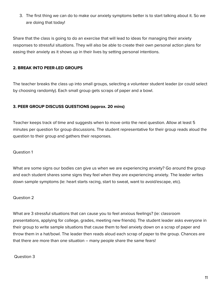3. The first thing we can do to make our anxiety symptoms better is to start talking about it. So we are doing that today!

Share that the class is going to do an exercise that will lead to ideas for managing their anxiety responses to stressful situations. They will also be able to create their own personal action plans for easing their anxiety as it shows up in their lives by setting personal intentions.

#### **2. BREAK INTO PEER-LED GROUPS**

The teacher breaks the class up into small groups, selecting a volunteer student leader (or could select by choosing randomly). Each small group gets scraps of paper and a bowl.

#### **3. PEER GROUP DISCUSS QUESTIONS (approx. 20 mins)**

Teacher keeps track of time and suggests when to move onto the next question. Allow at least 5 minutes per question for group discussions. The student representative for their group reads aloud the question to their group and gathers their responses.

#### Question 1

What are some signs our bodies can give us when we are experiencing anxiety? Go around the group and each student shares some signs they feel when they are experiencing anxiety. The leader writes down sample symptoms (ie: heart starts racing, start to sweat, want to avoid/escape, etc).

#### Question 2

What are 3 stressful situations that can cause you to feel anxious feelings? (ie: classroom presentations, applying for college, grades, meeting new friends). The student leader asks everyone in their group to write sample situations that cause them to feel anxiety down on a scrap of paper and throw them in a hat/bowl. The leader then reads aloud each scrap of paper to the group. Chances are that there are more than one situation – many people share the same fears!

#### Question 3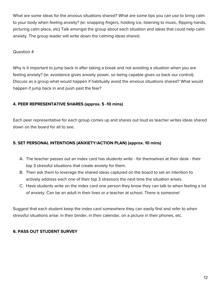What are some ideas for the anxious situations shared? What are some tips you can use to bring calm to your body when feeling anxiety? (ie: snapping fingers, holding ice, listening to music, flipping hands, picturing calm place, etc) Talk amongst the group about each situation and ideas that could help calm anxiety. The group leader will write down the calming ideas shared.

#### Question 4

Why is it important to jump back in after taking a break and not avoiding a situation when you are feeling anxiety? (ie: avoidance gives anxiety power, so being capable gives us back our control). Discuss as a group what would happen if habitually avoid the anxious situations shared? What would happen if jump back in and push past the fear?

#### **4. PEER REPRESENTATIVE SHARES (approx. 5 -10 mins)**

Each peer representative for each group comes up and shares out loud as teacher writes ideas shared down on the board for all to see.

#### **5. SET PERSONAL INTENTIONS (ANXIETY/ACTION PLAN) (approx. 10 mins)**

- A. The teacher passes out an index card has students write for themselves at their desk their top 3 stressful situations that create anxiety for them.
- B. Then ask them to leverage the shared ideas captured on the board to set an intention to actively address each one of their top 3 stressors the next time the situation arises.
- C. Have students write on the index card one person they know they can talk to when feeling a lot of anxiety. Can be an adult in their lives or a teacher at school. There is someone!

Suggest that each student keep the index card somewhere they can easily find and refer to when stressful situations arise: in their binder, in their calendar, on a picture in their phones, etc.

#### **6. PASS OUT STUDENT SURVEY**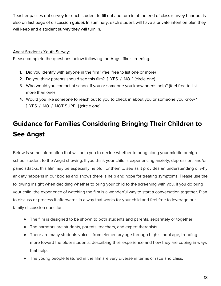Teacher passes out survey for each student to fill out and turn in at the end of class (survey handout is also on last page of discussion guide). In summary, each student will have a private intention plan they will keep and a student survey they will turn in.

#### Angst Student / Youth Survey:

Please complete the questions below following the Angst film screening.

- 1. Did you identify with anyone in the film? (feel free to list one or more)
- 2. Do you think parents should see this film? [ YES / NO ] (circle one)
- 3. Who would you contact at school if you or someone you know needs help? (feel free to list more than one)
- 4. Would you like someone to reach out to you to check in about you or someone you know? [ YES / NO / NOT SURE ] (circle one)

# **Guidance for Families Considering Bringing Their Children to See Angst**

Below is some information that will help you to decide whether to bring along your middle or high school student to the Angst showing. If you think your child is experiencing anxiety, depression, and/or panic attacks, this film may be especially helpful for them to see as it provides an understanding of why anxiety happens in our bodies and shows there is help and hope for treating symptoms. Please use the following insight when deciding whether to bring your child to the screening with you. If you do bring your child, the experience of watching the film is a wonderful way to start a conversation together. Plan to discuss or process it afterwards in a way that works for your child and feel free to leverage our family discussion questions.

- The film is designed to be shown to both students and parents, separately or together.
- The narrators are students, parents, teachers, and expert therapists.
- There are many students voices, from elementary age through high school age, trending more toward the older students, describing their experience and how they are coping in ways that help.
- The young people featured in the film are very diverse in terms of race and class.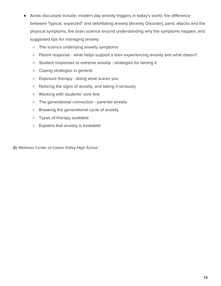- Areas discussed include: modern day anxiety triggers in today's world, the difference between "typical, expected" and debilitating anxiety (Anxiety Disorder), panic attacks and the physical symptoms, the brain science around understanding why the symptoms happen, and suggested tips for managing anxiety
	- The science underlying anxiety symptoms
	- Parent response what helps support a teen experiencing anxiety and what doesn't
	- Student responses to extreme anxiety strategies for taming it
	- Coping strategies in general
	- Exposure therapy doing what scares you
	- Noticing the signs of anxiety, and taking it seriously
	- Working with students' core fear
	- The generational connection parental anxiety
	- Breaking the generational cycle of anxiety
	- Types of therapy available
	- Explains that anxiety is treatable!

By Wellness Center at Castro Valley High School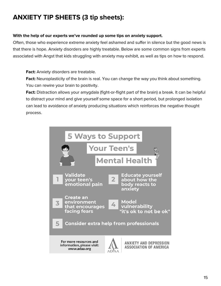# <span id="page-15-0"></span>**ANXIETY TIP SHEETS (3 tip sheets):**

#### **With the help of our experts we've rounded up some tips on anxiety support.**

Often, those who experience extreme anxiety feel ashamed and suffer in silence but the good news is that there is hope. Anxiety disorders are highly treatable. Below are some common signs from experts associated with Angst that kids struggling with anxiety may exhibit, as well as tips on how to respond.

**Fact:** Anxiety disorders are treatable.

**Fact:** Neuroplasticity of the brain is real. You can change the way you think about something. You can rewire your brain to positivity.

**Fact:** Distraction allows your amygdala (fight-or-flight part of the brain) a break. It can be helpful to distract your mind and give yourself some space for a short period, but prolonged isolation can lead to avoidance of anxiety producing situations which reinforces the negative thought process.

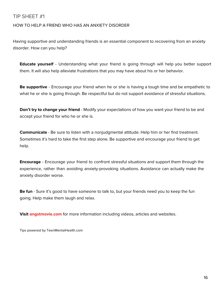### <span id="page-16-0"></span>TIP SHEET #1

#### HOW TO HELP A FRIEND WHO HAS AN ANXIETY DISORDER

Having supportive and understanding friends is an essential component to recovering from an anxiety disorder. How can you help?

**Educate yourself** - Understanding what your friend is going through will help you better support them. It will also help alleviate frustrations that you may have about his or her behavior.

**Be supportive** - Encourage your friend when he or she is having a tough time and be empathetic to what he or she is going through. Be respectful but do not support avoidance of stressful situations.

**Don't try to change your friend** - Modify your expectations of how you want your friend to be and accept your friend for who he or she is.

**Communicate** - Be sure to listen with a nonjudgmental attitude. Help him or her find treatment. Sometimes it's hard to take the first step alone. Be supportive and encourage your friend to get help.

**Encourage** - Encourage your friend to confront stressful situations and support them through the experience, rather than avoiding anxiety-provoking situations. Avoidance can actually make the anxiety disorder worse.

**Be fun** - Sure it's good to have someone to talk to, but your friends need you to keep the fun going. Help make them laugh and relax.

**Visit angstmovie.com** for more information including videos, articles and websites.

Tips powered by TeenMentalHealth.com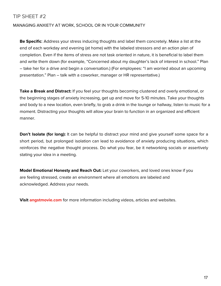### <span id="page-17-0"></span>TIP SHEET #2

#### MANAGING ANXIETY AT WORK, SCHOOL OR IN YOUR COMMUNITY

**Be Specific**: Address your stress inducing thoughts and label them concretely. Make a list at the end of each workday and evening (at home) with the labeled stressors and an action plan of completion. Even if the items of stress are not task oriented in nature, it is beneficial to label them and write them down (for example, "Concerned about my daughter's lack of interest in school." Plan – take her for a drive and begin a conversation.) (For employees: "I am worried about an upcoming presentation." Plan – talk with a coworker, manager or HR representative.)

**Take a Break and Distract:** If you feel your thoughts becoming clustered and overly emotional, or the beginning stages of anxiety increasing, get up and move for 5-10 minutes. Take your thoughts and body to a new location, even briefly, to grab a drink in the lounge or hallway, listen to music for a moment. Distracting your thoughts will allow your brain to function in an organized and efficient manner.

**Don't Isolate (for long):** It can be helpful to distract your mind and give yourself some space for a short period, but prolonged isolation can lead to avoidance of anxiety producing situations, which reinforces the negative thought process. Do what you fear, be it networking socials or assertively stating your idea in a meeting.

**Model Emotional Honesty and Reach Out:** Let your coworkers, and loved ones know if you are feeling stressed, create an environment where all emotions are labeled and acknowledged. Address your needs.

**Visit angstmovie.com** for more information including videos, articles and websites.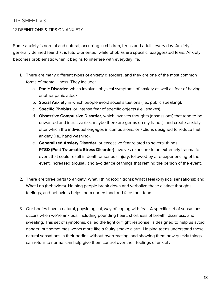### <span id="page-18-0"></span>TIP SHEET #3

#### 12 DEFINITIONS & TIPS ON ANXIETY

Some anxiety is normal and natural, occurring in children, teens and adults every day. Anxiety is generally defined fear that is future-oriented, while phobias are specific, exaggerated fears. Anxiety becomes problematic when it begins to interfere with everyday life.

- 1. There are many different types of anxiety disorders, and they are one of the most common forms of mental illness. They include:
	- a. **Panic Disorder**, which involves physical symptoms of anxiety as well as fear of having another panic attack.
	- b. **Social Anxiety** in which people avoid social situations (i.e., public speaking).
	- c. **Specific Phobias**, or intense fear of specific objects (i.e., snakes).
	- d. **Obsessive Compulsive Disorder**, which involves thoughts (obsessions) that tend to be unwanted and intrusive (i.e., maybe there are germs on my hands), and create anxiety, after which the individual engages in compulsions, or actions designed to reduce that anxiety (i.e., hand washing).
	- e. **Generalized Anxiety Disorder**, or excessive fear related to several things.
	- f. **PTSD (Post Traumatic Stress Disorder)** involves exposure to an extremely traumatic event that could result in death or serious injury, followed by a re-experiencing of the event, increased arousal, and avoidance of things that remind the person of the event.
- 2. There are three parts to anxiety: What I think (cognitions); What I feel (physical sensations); and What I do (behaviors). Helping people break down and verbalize these distinct thoughts, feelings, and behaviors helps them understand and face their fears.
- 3. Our bodies have a natural, physiological, way of coping with fear. A specific set of sensations occurs when we're anxious, including pounding heart, shortness of breath, dizziness, and sweating. This set of symptoms, called the fight or flight response, is designed to help us avoid danger, but sometimes works more like a faulty smoke alarm. Helping teens understand these natural sensations in their bodies without overreacting, and showing them how quickly things can return to normal can help give them control over their feelings of anxiety.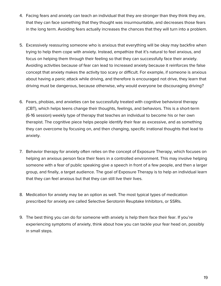- 4. Facing fears and anxiety can teach an individual that they are stronger than they think they are, that they can face something that they thought was insurmountable, and decreases those fears in the long term. Avoiding fears actually increases the chances that they will turn into a problem.
- 5. Excessively reassuring someone who is anxious that everything will be okay may backfire when trying to help them cope with anxiety. Instead, empathize that it's natural to feel anxious, and focus on helping them through their feeling so that they can successfully face their anxiety. Avoiding activities because of fear can lead to increased anxiety because it reinforces the false concept that anxiety makes the activity too scary or difficult. For example, if someone is anxious about having a panic attack while driving, and therefore is encouraged not drive, they learn that driving must be dangerous, because otherwise, why would everyone be discouraging driving?
- 6. Fears, phobias, and anxieties can be successfully treated with cognitive behavioral therapy (CBT), which helps teens change their thoughts, feelings, and behaviors. This is a short-term (6-16 session) weekly type of therapy that teaches an individual to become his or her own therapist. The cognitive piece helps people identify their fear as excessive, and as something they can overcome by focusing on, and then changing, specific irrational thoughts that lead to anxiety.
- 7. Behavior therapy for anxiety often relies on the concept of Exposure Therapy, which focuses on helping an anxious person face their fears in a controlled environment. This may involve helping someone with a fear of public speaking give a speech in front of a few people, and then a larger group, and finally, a target audience. The goal of Exposure Therapy is to help an individual learn that they can feel anxious but that they can still live their lives.
- 8. Medication for anxiety may be an option as well. The most typical types of medication prescribed for anxiety are called Selective Serotonin Reuptake Inhibitors, or SSRIs.
- 9. The best thing you can do for someone with anxiety is help them face their fear. If you're experiencing symptoms of anxiety, think about how you can tackle your fear head on, possibly in small steps.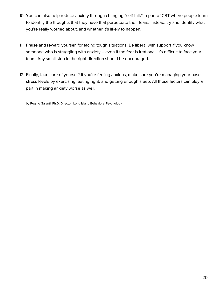- 10. You can also help reduce anxiety through changing "self-talk", a part of CBT where people learn to identify the thoughts that they have that perpetuate their fears. Instead, try and identify what you're really worried about, and whether it's likely to happen.
- 11. Praise and reward yourself for facing tough situations. Be liberal with support if you know someone who is struggling with anxiety – even if the fear is irrational, it's difficult to face your fears. Any small step in the right direction should be encouraged.
- 12. Finally, take care of yourself! If you're feeling anxious, make sure you're managing your base stress levels by exercising, eating right, and getting enough sleep. All those factors can play a part in making anxiety worse as well.

by Regine Galanti, Ph.D. Director, Long Island Behavioral Psychology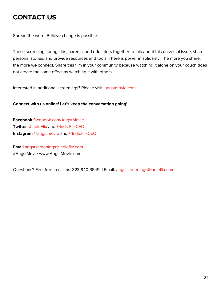# <span id="page-21-0"></span>**CONTACT US**

Spread the word. Believe change is possible.

These screenings bring kids, parents, and educators together to talk about this universal issue, share personal stories, and provide resources and tools. There is power in solidarity. The more you share, the more we connect. Share this film in your community because watching it alone on your couch does not create the same effect as watching it with others.

Interested in additional screenings? Please visit: [angstmovie.com](https://angstmovie.com/)

#### **Connect with us online! Let's keep the conversation going!**

**Facebook** [facebook.com/AngstMovie](https://www.facebook.com/AngstMovie/) **Twitter** [@IndieFlix](https://twitter.com/indieflix?lang=en) and [@IndieFlixCEO](https://twitter.com/indieflixceo?lang=en) **Instagram** [@angstmovie](https://www.instagram.com/angstmovie/) and [@IndieFlixCEO](https://www.instagram.com/indieflixceo/)

**Email** [angstscreenings@indieflix.com](mailto:angstscreenings@indieflix.com) #AngstMovie www.AngstMovie.com

Questions? Feel free to call us: 323 940-3549 | Email: [angstscreenings@indieflix.com](mailto:angstscreenings@indieflix.com)